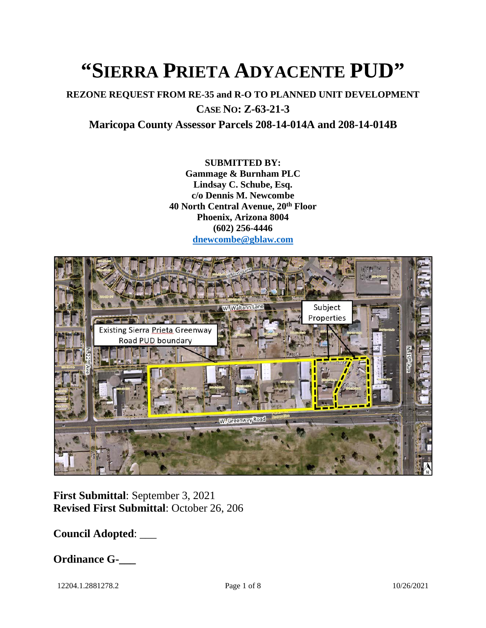# **"SIERRA PRIETA ADYACENTE PUD"**

**REZONE REQUEST FROM RE-35 and R-O TO PLANNED UNIT DEVELOPMENT CASE NO: Z-63-21-3**

**Maricopa County Assessor Parcels 208-14-014A and 208-14-014B**

**SUBMITTED BY: Gammage & Burnham PLC Lindsay C. Schube, Esq. c/o Dennis M. Newcombe 40 North Central Avenue, 20th Floor Phoenix, Arizona 8004 (602) 256-4446 [dnewcombe@gblaw.com](mailto:dnewcombe@gblaw.com)**



**First Submittal**: September 3, 2021 **Revised First Submittal**: October 26, 206

**Council Adopted**: \_\_\_

**Ordinance G-\_\_\_**

12204.1.2881278.2 Page 1 of 8 10/26/2021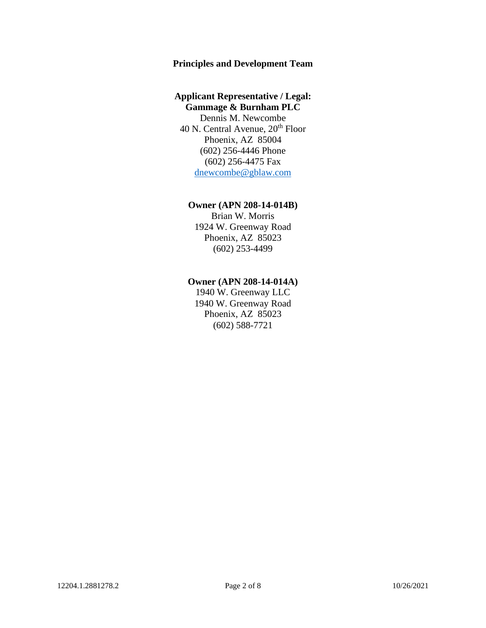#### **Principles and Development Team**

#### **Applicant Representative / Legal: Gammage & Burnham PLC**

Dennis M. Newcombe 40 N. Central Avenue,  $20<sup>th</sup>$  Floor Phoenix, AZ 85004 (602) 256-4446 Phone (602) 256-4475 Fax [dnewcombe@gblaw.com](mailto:dnewcombe@gblaw.com)

#### **Owner (APN 208-14-014B)**

Brian W. Morris 1924 W. Greenway Road Phoenix, AZ 85023 (602) 253-4499

#### **Owner (APN 208-14-014A)**

1940 W. Greenway LLC 1940 W. Greenway Road Phoenix, AZ 85023 (602) 588-7721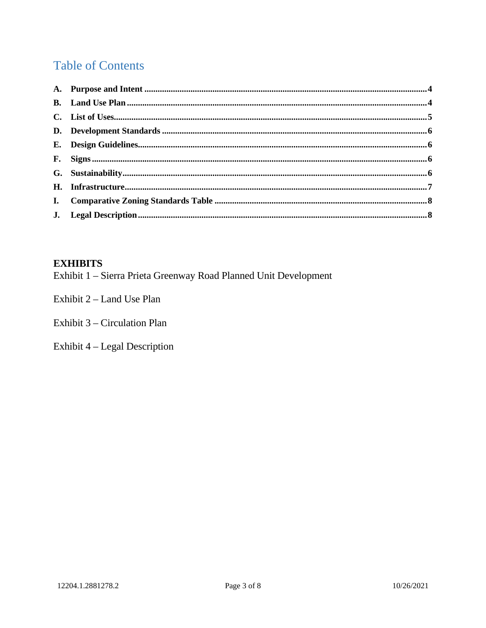# **Table of Contents**

## **EXHIBITS**

Exhibit 1 - Sierra Prieta Greenway Road Planned Unit Development

Exhibit 2 – Land Use Plan

Exhibit 3 – Circulation Plan

Exhibit 4 - Legal Description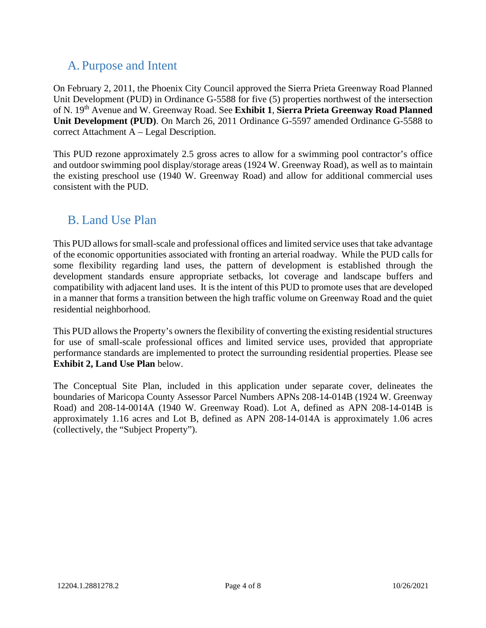## <span id="page-3-0"></span>A. Purpose and Intent

On February 2, 2011, the Phoenix City Council approved the Sierra Prieta Greenway Road Planned Unit Development (PUD) in Ordinance G-5588 for five (5) properties northwest of the intersection of N. 19th Avenue and W. Greenway Road. See **Exhibit 1**, **Sierra Prieta Greenway Road Planned Unit Development (PUD)**. On March 26, 2011 Ordinance G-5597 amended Ordinance G-5588 to correct Attachment A – Legal Description.

This PUD rezone approximately 2.5 gross acres to allow for a swimming pool contractor's office and outdoor swimming pool display/storage areas (1924 W. Greenway Road), as well as to maintain the existing preschool use (1940 W. Greenway Road) and allow for additional commercial uses consistent with the PUD.

## <span id="page-3-1"></span>B. Land Use Plan

This PUD allows for small-scale and professional offices and limited service uses that take advantage of the economic opportunities associated with fronting an arterial roadway. While the PUD calls for some flexibility regarding land uses, the pattern of development is established through the development standards ensure appropriate setbacks, lot coverage and landscape buffers and compatibility with adjacent land uses. It is the intent of this PUD to promote uses that are developed in a manner that forms a transition between the high traffic volume on Greenway Road and the quiet residential neighborhood.

This PUD allows the Property's owners the flexibility of converting the existing residential structures for use of small-scale professional offices and limited service uses, provided that appropriate performance standards are implemented to protect the surrounding residential properties. Please see **Exhibit 2, Land Use Plan** below.

The Conceptual Site Plan, included in this application under separate cover, delineates the boundaries of Maricopa County Assessor Parcel Numbers APNs 208-14-014B (1924 W. Greenway Road) and 208-14-0014A (1940 W. Greenway Road). Lot A, defined as APN 208-14-014B is approximately 1.16 acres and Lot B, defined as APN 208-14-014A is approximately 1.06 acres (collectively, the "Subject Property").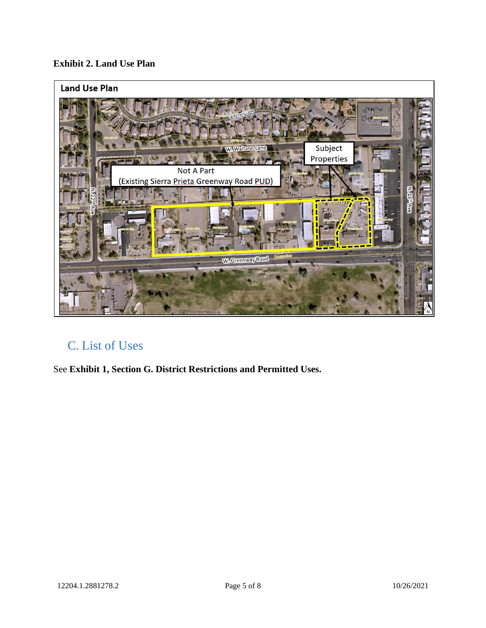## **Exhibit 2. Land Use Plan**



## <span id="page-4-0"></span>C. List of Uses

<span id="page-4-1"></span>See **Exhibit 1, Section G. District Restrictions and Permitted Uses.**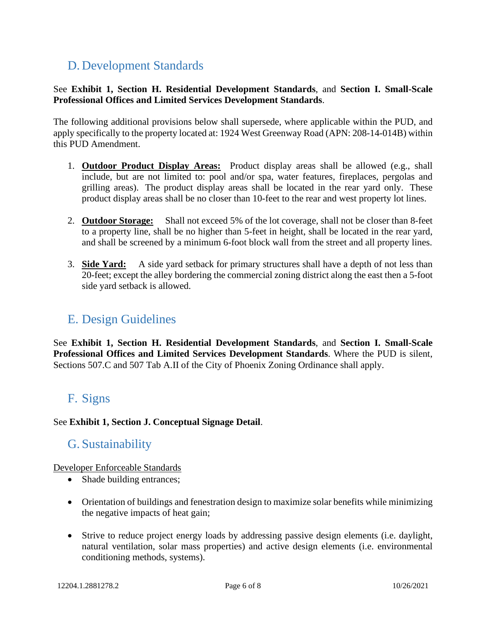# D. Development Standards

See **Exhibit 1, Section H. Residential Development Standards**, and **Section I. Small-Scale Professional Offices and Limited Services Development Standards**.

The following additional provisions below shall supersede, where applicable within the PUD, and apply specifically to the property located at: 1924 West Greenway Road (APN: 208-14-014B) within this PUD Amendment.

- 1. **Outdoor Product Display Areas:** Product display areas shall be allowed (e.g., shall include, but are not limited to: pool and/or spa, water features, fireplaces, pergolas and grilling areas). The product display areas shall be located in the rear yard only. These product display areas shall be no closer than 10-feet to the rear and west property lot lines.
- 2. **Outdoor Storage:** Shall not exceed 5% of the lot coverage, shall not be closer than 8-feet to a property line, shall be no higher than 5-feet in height, shall be located in the rear yard, and shall be screened by a minimum 6-foot block wall from the street and all property lines.
- 3. **Side Yard:** A side yard setback for primary structures shall have a depth of not less than 20-feet; except the alley bordering the commercial zoning district along the east then a 5-foot side yard setback is allowed.

## <span id="page-5-0"></span>E. Design Guidelines

See **Exhibit 1, Section H. Residential Development Standards**, and **Section I. Small-Scale Professional Offices and Limited Services Development Standards**. Where the PUD is silent, Sections 507.C and 507 Tab A.II of the City of Phoenix Zoning Ordinance shall apply.

## <span id="page-5-1"></span>F. Signs

### <span id="page-5-2"></span>See **Exhibit 1, Section J. Conceptual Signage Detail**.

## G. Sustainability

Developer Enforceable Standards

- Shade building entrances;
- Orientation of buildings and fenestration design to maximize solar benefits while minimizing the negative impacts of heat gain;
- Strive to reduce project energy loads by addressing passive design elements (i.e. daylight, natural ventilation, solar mass properties) and active design elements (i.e. environmental conditioning methods, systems).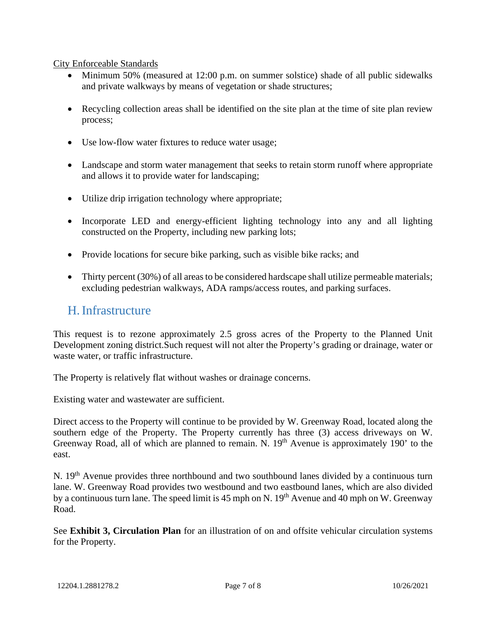City Enforceable Standards

- Minimum 50% (measured at 12:00 p.m. on summer solstice) shade of all public sidewalks and private walkways by means of vegetation or shade structures;
- Recycling collection areas shall be identified on the site plan at the time of site plan review process;
- Use low-flow water fixtures to reduce water usage;
- Landscape and storm water management that seeks to retain storm runoff where appropriate and allows it to provide water for landscaping;
- Utilize drip irrigation technology where appropriate;
- Incorporate LED and energy-efficient lighting technology into any and all lighting constructed on the Property, including new parking lots;
- Provide locations for secure bike parking, such as visible bike racks; and
- Thirty percent (30%) of all areas to be considered hardscape shall utilize permeable materials; excluding pedestrian walkways, ADA ramps/access routes, and parking surfaces.

## <span id="page-6-0"></span>H.Infrastructure

This request is to rezone approximately 2.5 gross acres of the Property to the Planned Unit Development zoning district.Such request will not alter the Property's grading or drainage, water or waste water, or traffic infrastructure.

The Property is relatively flat without washes or drainage concerns.

Existing water and wastewater are sufficient.

Direct access to the Property will continue to be provided by W. Greenway Road, located along the southern edge of the Property. The Property currently has three (3) access driveways on W. Greenway Road, all of which are planned to remain. N. 19<sup>th</sup> Avenue is approximately 190' to the east.

N. 19<sup>th</sup> Avenue provides three northbound and two southbound lanes divided by a continuous turn lane. W. Greenway Road provides two westbound and two eastbound lanes, which are also divided by a continuous turn lane. The speed limit is 45 mph on N.  $19<sup>th</sup>$  Avenue and 40 mph on W. Greenway Road.

See **Exhibit 3, Circulation Plan** for an illustration of on and offsite vehicular circulation systems for the Property.